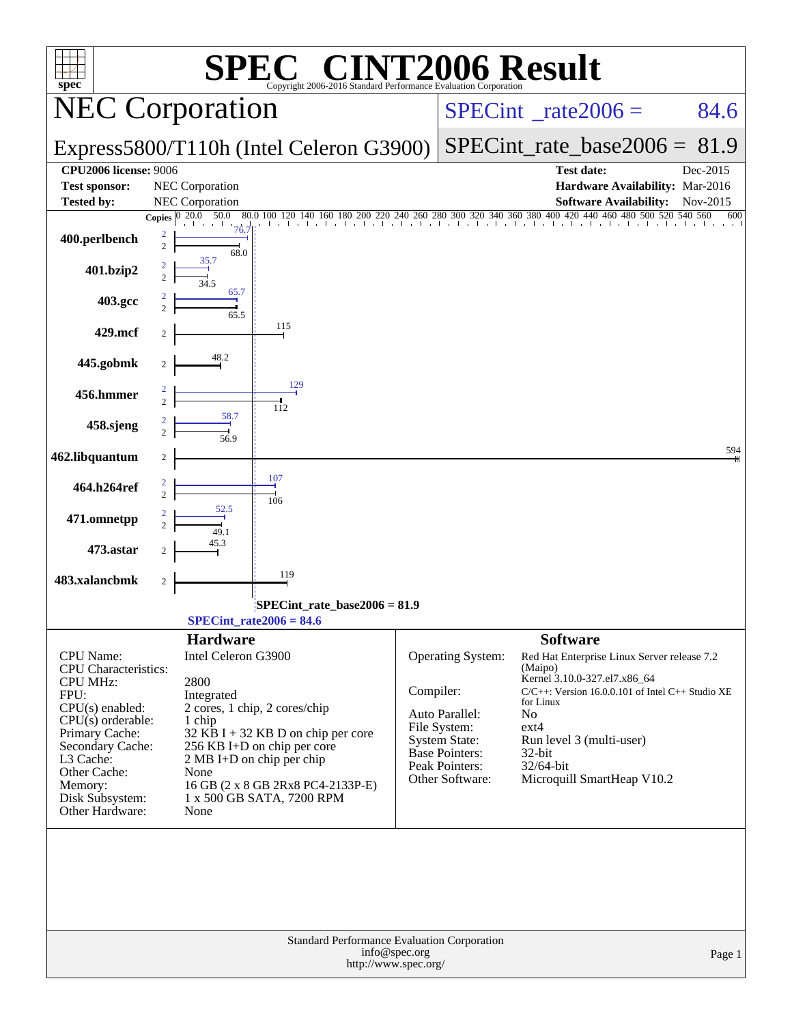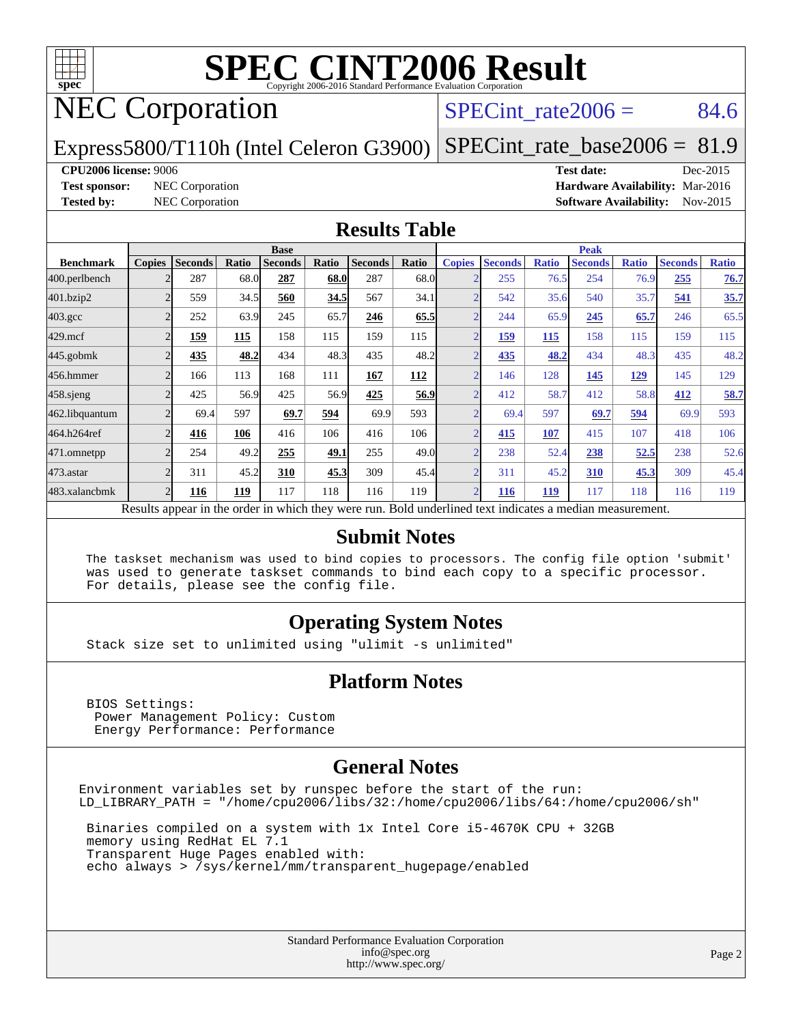

# NEC Corporation

#### SPECint rate $2006 = 84.6$

Express5800/T110h (Intel Celeron G3900)

[SPECint\\_rate\\_base2006 =](http://www.spec.org/auto/cpu2006/Docs/result-fields.html#SPECintratebase2006) 81.9

#### **[CPU2006 license:](http://www.spec.org/auto/cpu2006/Docs/result-fields.html#CPU2006license)** 9006 **[Test date:](http://www.spec.org/auto/cpu2006/Docs/result-fields.html#Testdate)** Dec-2015

**[Test sponsor:](http://www.spec.org/auto/cpu2006/Docs/result-fields.html#Testsponsor)** NEC Corporation **[Hardware Availability:](http://www.spec.org/auto/cpu2006/Docs/result-fields.html#HardwareAvailability)** Mar-2016 **[Tested by:](http://www.spec.org/auto/cpu2006/Docs/result-fields.html#Testedby)** NEC Corporation **[Software Availability:](http://www.spec.org/auto/cpu2006/Docs/result-fields.html#SoftwareAvailability)** Nov-2015

#### **[Results Table](http://www.spec.org/auto/cpu2006/Docs/result-fields.html#ResultsTable)**

|                    | <b>Base</b>    |                |       |                                                                                                          |       |                |            | <b>Peak</b>    |                |              |                |              |                |              |
|--------------------|----------------|----------------|-------|----------------------------------------------------------------------------------------------------------|-------|----------------|------------|----------------|----------------|--------------|----------------|--------------|----------------|--------------|
| <b>Benchmark</b>   | <b>Copies</b>  | <b>Seconds</b> | Ratio | <b>Seconds</b>                                                                                           | Ratio | <b>Seconds</b> | Ratio      | <b>Copies</b>  | <b>Seconds</b> | <b>Ratio</b> | <b>Seconds</b> | <b>Ratio</b> | <b>Seconds</b> | <b>Ratio</b> |
| 400.perlbench      |                | 287            | 68.0  | 287                                                                                                      | 68.0  | 287            | 68.0       |                | 255            | 76.5         | 254            | 76.9         | 255            | 76.7         |
| 401.bzip2          |                | 559            | 34.5  | 560                                                                                                      | 34.5  | 567            | 34.1       |                | 542            | 35.6         | 540            | 35.7         | 541            | 35.7         |
| $403.\mathrm{gcc}$ | $\mathfrak{D}$ | 252            | 63.9  | 245                                                                                                      | 65.7  | 246            | 65.5       | $\overline{2}$ | 244            | 65.9         | 245            | 65.7         | 246            | 65.5         |
| $429$ .mcf         |                | 159            | 115   | 158                                                                                                      | 115   | 159            | 115        | ◠              | 159            | 115          | 158            | 115          | 159            | 115          |
| $445$ .gobmk       |                | 435            | 48.2  | 434                                                                                                      | 48.3  | 435            | 48.2       |                | 435            | 48.2         | 434            | 48.3         | 435            | 48.2         |
| 456.hmmer          |                | 166            | 113   | 168                                                                                                      | 111   | 167            | <b>112</b> | $\overline{2}$ | 146            | 128          | 145            | 129          | 145            | 129          |
| $458$ .sjeng       | 2              | 425            | 56.9  | 425                                                                                                      | 56.9  | 425            | 56.9       | C              | 412            | 58.7         | 412            | 58.8         | 412            | 58.7         |
| 462.libquantum     |                | 69.4           | 597   | 69.7                                                                                                     | 594   | 69.9           | 593        |                | 69.4           | 597          | 69.7           | 594          | 69.9           | 593          |
| 464.h264ref        |                | 416            | 106   | 416                                                                                                      | 106   | 416            | 106        |                | 415            | 107          | 415            | 107          | 418            | 106          |
| 471.omnetpp        |                | 254            | 49.2  | 255                                                                                                      | 49.1  | 255            | 49.0       |                | 238            | 52.4         | 238            | 52.5         | 238            | 52.6         |
| 473.astar          | ↑              | 311            | 45.2  | 310                                                                                                      | 45.3  | 309            | 45.4       | $\overline{ }$ | 311            | 45.2         | 310            | 45.3         | 309            | 45.4         |
| 483.xalancbmk      | 2              | 116            | 119   | 117                                                                                                      | 118   | 116            | 119        | $\mathfrak{D}$ | <b>116</b>     | <u>119</u>   | 117            | 118          | 116            | 119          |
|                    |                |                |       | Results appear in the order in which they were run. Bold underlined text indicates a median measurement. |       |                |            |                |                |              |                |              |                |              |

#### **[Submit Notes](http://www.spec.org/auto/cpu2006/Docs/result-fields.html#SubmitNotes)**

 The taskset mechanism was used to bind copies to processors. The config file option 'submit' was used to generate taskset commands to bind each copy to a specific processor. For details, please see the config file.

#### **[Operating System Notes](http://www.spec.org/auto/cpu2006/Docs/result-fields.html#OperatingSystemNotes)**

Stack size set to unlimited using "ulimit -s unlimited"

#### **[Platform Notes](http://www.spec.org/auto/cpu2006/Docs/result-fields.html#PlatformNotes)**

 BIOS Settings: Power Management Policy: Custom Energy Performance: Performance

#### **[General Notes](http://www.spec.org/auto/cpu2006/Docs/result-fields.html#GeneralNotes)**

Environment variables set by runspec before the start of the run: LD\_LIBRARY\_PATH = "/home/cpu2006/libs/32:/home/cpu2006/libs/64:/home/cpu2006/sh"

 Binaries compiled on a system with 1x Intel Core i5-4670K CPU + 32GB memory using RedHat EL 7.1 Transparent Huge Pages enabled with: echo always > /sys/kernel/mm/transparent\_hugepage/enabled

> Standard Performance Evaluation Corporation [info@spec.org](mailto:info@spec.org) <http://www.spec.org/>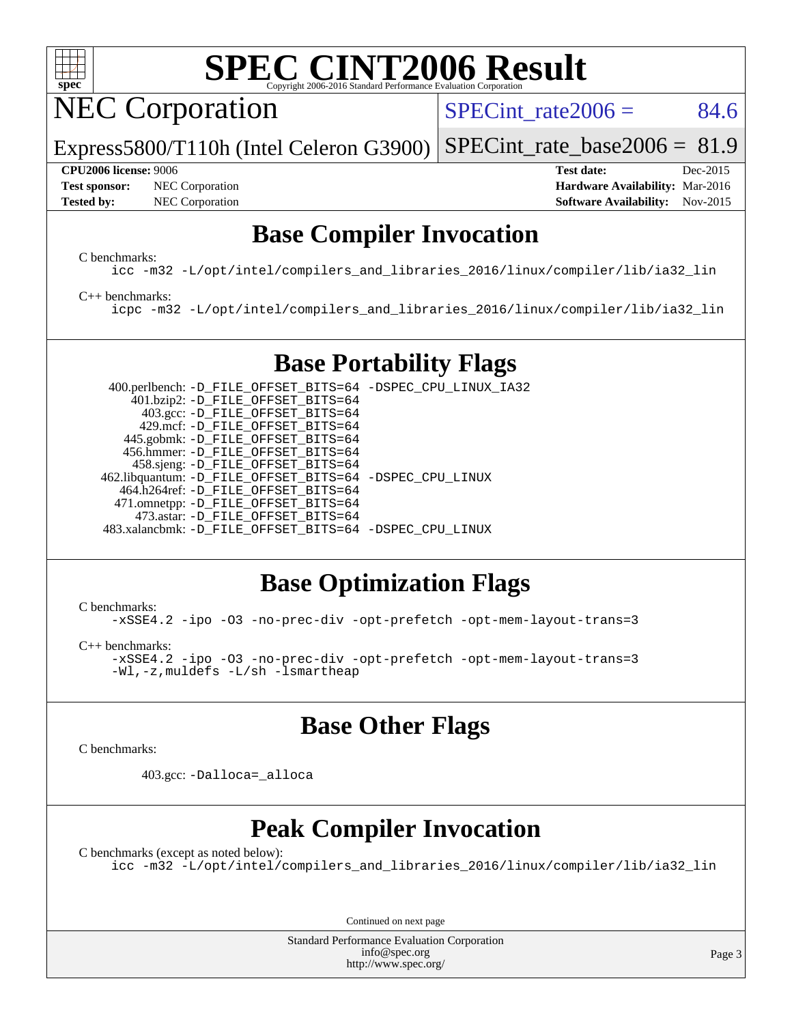

NEC Corporation

 $SPECTnt_rate2006 = 84.6$ 

Express5800/T110h (Intel Celeron G3900) [SPECint\\_rate\\_base2006 =](http://www.spec.org/auto/cpu2006/Docs/result-fields.html#SPECintratebase2006) 81.9

**[Test sponsor:](http://www.spec.org/auto/cpu2006/Docs/result-fields.html#Testsponsor)** NEC Corporation **NEC Corporation [Hardware Availability:](http://www.spec.org/auto/cpu2006/Docs/result-fields.html#HardwareAvailability)** Mar-2016

**[CPU2006 license:](http://www.spec.org/auto/cpu2006/Docs/result-fields.html#CPU2006license)** 9006 **[Test date:](http://www.spec.org/auto/cpu2006/Docs/result-fields.html#Testdate)** Dec-2015 **[Tested by:](http://www.spec.org/auto/cpu2006/Docs/result-fields.html#Testedby)** NEC Corporation **[Software Availability:](http://www.spec.org/auto/cpu2006/Docs/result-fields.html#SoftwareAvailability)** Nov-2015

### **[Base Compiler Invocation](http://www.spec.org/auto/cpu2006/Docs/result-fields.html#BaseCompilerInvocation)**

[C benchmarks](http://www.spec.org/auto/cpu2006/Docs/result-fields.html#Cbenchmarks):

[icc -m32 -L/opt/intel/compilers\\_and\\_libraries\\_2016/linux/compiler/lib/ia32\\_lin](http://www.spec.org/cpu2006/results/res2016q1/cpu2006-20160125-38840.flags.html#user_CCbase_intel_icc_e10256ba5924b668798078a321b0cb3f)

#### [C++ benchmarks:](http://www.spec.org/auto/cpu2006/Docs/result-fields.html#CXXbenchmarks)

[icpc -m32 -L/opt/intel/compilers\\_and\\_libraries\\_2016/linux/compiler/lib/ia32\\_lin](http://www.spec.org/cpu2006/results/res2016q1/cpu2006-20160125-38840.flags.html#user_CXXbase_intel_icpc_b4f50a394bdb4597aa5879c16bc3f5c5)

## **[Base Portability Flags](http://www.spec.org/auto/cpu2006/Docs/result-fields.html#BasePortabilityFlags)**

 400.perlbench: [-D\\_FILE\\_OFFSET\\_BITS=64](http://www.spec.org/cpu2006/results/res2016q1/cpu2006-20160125-38840.flags.html#user_basePORTABILITY400_perlbench_file_offset_bits_64_438cf9856305ebd76870a2c6dc2689ab) [-DSPEC\\_CPU\\_LINUX\\_IA32](http://www.spec.org/cpu2006/results/res2016q1/cpu2006-20160125-38840.flags.html#b400.perlbench_baseCPORTABILITY_DSPEC_CPU_LINUX_IA32) 401.bzip2: [-D\\_FILE\\_OFFSET\\_BITS=64](http://www.spec.org/cpu2006/results/res2016q1/cpu2006-20160125-38840.flags.html#user_basePORTABILITY401_bzip2_file_offset_bits_64_438cf9856305ebd76870a2c6dc2689ab) 403.gcc: [-D\\_FILE\\_OFFSET\\_BITS=64](http://www.spec.org/cpu2006/results/res2016q1/cpu2006-20160125-38840.flags.html#user_basePORTABILITY403_gcc_file_offset_bits_64_438cf9856305ebd76870a2c6dc2689ab) 429.mcf: [-D\\_FILE\\_OFFSET\\_BITS=64](http://www.spec.org/cpu2006/results/res2016q1/cpu2006-20160125-38840.flags.html#user_basePORTABILITY429_mcf_file_offset_bits_64_438cf9856305ebd76870a2c6dc2689ab) 445.gobmk: [-D\\_FILE\\_OFFSET\\_BITS=64](http://www.spec.org/cpu2006/results/res2016q1/cpu2006-20160125-38840.flags.html#user_basePORTABILITY445_gobmk_file_offset_bits_64_438cf9856305ebd76870a2c6dc2689ab) 456.hmmer: [-D\\_FILE\\_OFFSET\\_BITS=64](http://www.spec.org/cpu2006/results/res2016q1/cpu2006-20160125-38840.flags.html#user_basePORTABILITY456_hmmer_file_offset_bits_64_438cf9856305ebd76870a2c6dc2689ab) 458.sjeng: [-D\\_FILE\\_OFFSET\\_BITS=64](http://www.spec.org/cpu2006/results/res2016q1/cpu2006-20160125-38840.flags.html#user_basePORTABILITY458_sjeng_file_offset_bits_64_438cf9856305ebd76870a2c6dc2689ab) 462.libquantum: [-D\\_FILE\\_OFFSET\\_BITS=64](http://www.spec.org/cpu2006/results/res2016q1/cpu2006-20160125-38840.flags.html#user_basePORTABILITY462_libquantum_file_offset_bits_64_438cf9856305ebd76870a2c6dc2689ab) [-DSPEC\\_CPU\\_LINUX](http://www.spec.org/cpu2006/results/res2016q1/cpu2006-20160125-38840.flags.html#b462.libquantum_baseCPORTABILITY_DSPEC_CPU_LINUX) 464.h264ref: [-D\\_FILE\\_OFFSET\\_BITS=64](http://www.spec.org/cpu2006/results/res2016q1/cpu2006-20160125-38840.flags.html#user_basePORTABILITY464_h264ref_file_offset_bits_64_438cf9856305ebd76870a2c6dc2689ab) 471.omnetpp: [-D\\_FILE\\_OFFSET\\_BITS=64](http://www.spec.org/cpu2006/results/res2016q1/cpu2006-20160125-38840.flags.html#user_basePORTABILITY471_omnetpp_file_offset_bits_64_438cf9856305ebd76870a2c6dc2689ab) 473.astar: [-D\\_FILE\\_OFFSET\\_BITS=64](http://www.spec.org/cpu2006/results/res2016q1/cpu2006-20160125-38840.flags.html#user_basePORTABILITY473_astar_file_offset_bits_64_438cf9856305ebd76870a2c6dc2689ab) 483.xalancbmk: [-D\\_FILE\\_OFFSET\\_BITS=64](http://www.spec.org/cpu2006/results/res2016q1/cpu2006-20160125-38840.flags.html#user_basePORTABILITY483_xalancbmk_file_offset_bits_64_438cf9856305ebd76870a2c6dc2689ab) [-DSPEC\\_CPU\\_LINUX](http://www.spec.org/cpu2006/results/res2016q1/cpu2006-20160125-38840.flags.html#b483.xalancbmk_baseCXXPORTABILITY_DSPEC_CPU_LINUX)

## **[Base Optimization Flags](http://www.spec.org/auto/cpu2006/Docs/result-fields.html#BaseOptimizationFlags)**

[C benchmarks](http://www.spec.org/auto/cpu2006/Docs/result-fields.html#Cbenchmarks):

[-xSSE4.2](http://www.spec.org/cpu2006/results/res2016q1/cpu2006-20160125-38840.flags.html#user_CCbase_f-xSSE42_f91528193cf0b216347adb8b939d4107) [-ipo](http://www.spec.org/cpu2006/results/res2016q1/cpu2006-20160125-38840.flags.html#user_CCbase_f-ipo) [-O3](http://www.spec.org/cpu2006/results/res2016q1/cpu2006-20160125-38840.flags.html#user_CCbase_f-O3) [-no-prec-div](http://www.spec.org/cpu2006/results/res2016q1/cpu2006-20160125-38840.flags.html#user_CCbase_f-no-prec-div) [-opt-prefetch](http://www.spec.org/cpu2006/results/res2016q1/cpu2006-20160125-38840.flags.html#user_CCbase_f-opt-prefetch) [-opt-mem-layout-trans=3](http://www.spec.org/cpu2006/results/res2016q1/cpu2006-20160125-38840.flags.html#user_CCbase_f-opt-mem-layout-trans_a7b82ad4bd7abf52556d4961a2ae94d5)

[C++ benchmarks:](http://www.spec.org/auto/cpu2006/Docs/result-fields.html#CXXbenchmarks)

[-xSSE4.2](http://www.spec.org/cpu2006/results/res2016q1/cpu2006-20160125-38840.flags.html#user_CXXbase_f-xSSE42_f91528193cf0b216347adb8b939d4107) [-ipo](http://www.spec.org/cpu2006/results/res2016q1/cpu2006-20160125-38840.flags.html#user_CXXbase_f-ipo) [-O3](http://www.spec.org/cpu2006/results/res2016q1/cpu2006-20160125-38840.flags.html#user_CXXbase_f-O3) [-no-prec-div](http://www.spec.org/cpu2006/results/res2016q1/cpu2006-20160125-38840.flags.html#user_CXXbase_f-no-prec-div) [-opt-prefetch](http://www.spec.org/cpu2006/results/res2016q1/cpu2006-20160125-38840.flags.html#user_CXXbase_f-opt-prefetch) [-opt-mem-layout-trans=3](http://www.spec.org/cpu2006/results/res2016q1/cpu2006-20160125-38840.flags.html#user_CXXbase_f-opt-mem-layout-trans_a7b82ad4bd7abf52556d4961a2ae94d5) [-Wl,-z,muldefs](http://www.spec.org/cpu2006/results/res2016q1/cpu2006-20160125-38840.flags.html#user_CXXbase_link_force_multiple1_74079c344b956b9658436fd1b6dd3a8a) [-L/sh -lsmartheap](http://www.spec.org/cpu2006/results/res2016q1/cpu2006-20160125-38840.flags.html#user_CXXbase_SmartHeap_32f6c82aa1ed9c52345d30cf6e4a0499)

## **[Base Other Flags](http://www.spec.org/auto/cpu2006/Docs/result-fields.html#BaseOtherFlags)**

[C benchmarks](http://www.spec.org/auto/cpu2006/Docs/result-fields.html#Cbenchmarks):

403.gcc: [-Dalloca=\\_alloca](http://www.spec.org/cpu2006/results/res2016q1/cpu2006-20160125-38840.flags.html#b403.gcc_baseEXTRA_CFLAGS_Dalloca_be3056838c12de2578596ca5467af7f3)

## **[Peak Compiler Invocation](http://www.spec.org/auto/cpu2006/Docs/result-fields.html#PeakCompilerInvocation)**

[C benchmarks \(except as noted below\)](http://www.spec.org/auto/cpu2006/Docs/result-fields.html#Cbenchmarksexceptasnotedbelow):

[icc -m32 -L/opt/intel/compilers\\_and\\_libraries\\_2016/linux/compiler/lib/ia32\\_lin](http://www.spec.org/cpu2006/results/res2016q1/cpu2006-20160125-38840.flags.html#user_CCpeak_intel_icc_e10256ba5924b668798078a321b0cb3f)

Continued on next page

Standard Performance Evaluation Corporation [info@spec.org](mailto:info@spec.org) <http://www.spec.org/>

Page 3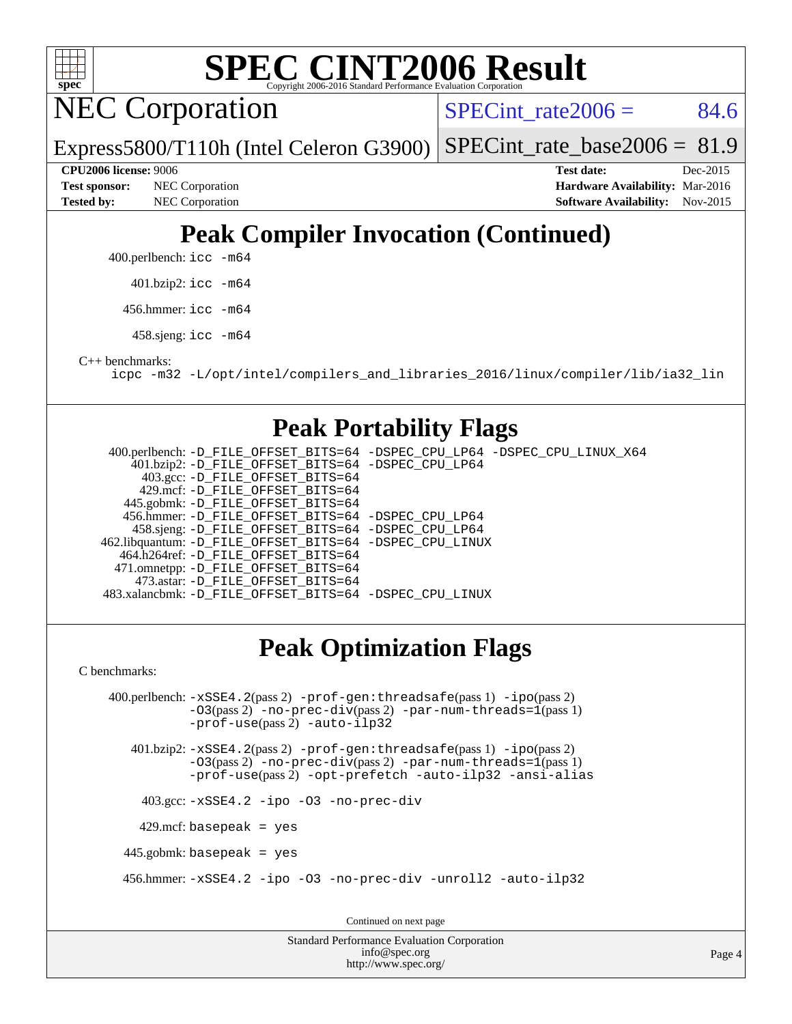

**NEC Corporation** 

SPECint rate $2006 = 84.6$ 

Express5800/T110h (Intel Celeron G3900) [SPECint\\_rate\\_base2006 =](http://www.spec.org/auto/cpu2006/Docs/result-fields.html#SPECintratebase2006) 81.9

**[Tested by:](http://www.spec.org/auto/cpu2006/Docs/result-fields.html#Testedby)** NEC Corporation **[Software Availability:](http://www.spec.org/auto/cpu2006/Docs/result-fields.html#SoftwareAvailability)** Nov-2015

**[CPU2006 license:](http://www.spec.org/auto/cpu2006/Docs/result-fields.html#CPU2006license)** 9006 **[Test date:](http://www.spec.org/auto/cpu2006/Docs/result-fields.html#Testdate)** Dec-2015 **[Test sponsor:](http://www.spec.org/auto/cpu2006/Docs/result-fields.html#Testsponsor)** NEC Corporation **NEC Corporation [Hardware Availability:](http://www.spec.org/auto/cpu2006/Docs/result-fields.html#HardwareAvailability)** Mar-2016

# **[Peak Compiler Invocation \(Continued\)](http://www.spec.org/auto/cpu2006/Docs/result-fields.html#PeakCompilerInvocation)**

400.perlbench: [icc -m64](http://www.spec.org/cpu2006/results/res2016q1/cpu2006-20160125-38840.flags.html#user_peakCCLD400_perlbench_intel_icc_64bit_bda6cc9af1fdbb0edc3795bac97ada53)

401.bzip2: [icc -m64](http://www.spec.org/cpu2006/results/res2016q1/cpu2006-20160125-38840.flags.html#user_peakCCLD401_bzip2_intel_icc_64bit_bda6cc9af1fdbb0edc3795bac97ada53)

456.hmmer: [icc -m64](http://www.spec.org/cpu2006/results/res2016q1/cpu2006-20160125-38840.flags.html#user_peakCCLD456_hmmer_intel_icc_64bit_bda6cc9af1fdbb0edc3795bac97ada53)

458.sjeng: [icc -m64](http://www.spec.org/cpu2006/results/res2016q1/cpu2006-20160125-38840.flags.html#user_peakCCLD458_sjeng_intel_icc_64bit_bda6cc9af1fdbb0edc3795bac97ada53)

[C++ benchmarks:](http://www.spec.org/auto/cpu2006/Docs/result-fields.html#CXXbenchmarks)

[icpc -m32 -L/opt/intel/compilers\\_and\\_libraries\\_2016/linux/compiler/lib/ia32\\_lin](http://www.spec.org/cpu2006/results/res2016q1/cpu2006-20160125-38840.flags.html#user_CXXpeak_intel_icpc_b4f50a394bdb4597aa5879c16bc3f5c5)

### **[Peak Portability Flags](http://www.spec.org/auto/cpu2006/Docs/result-fields.html#PeakPortabilityFlags)**

 400.perlbench: [-D\\_FILE\\_OFFSET\\_BITS=64](http://www.spec.org/cpu2006/results/res2016q1/cpu2006-20160125-38840.flags.html#user_peakPORTABILITY400_perlbench_file_offset_bits_64_438cf9856305ebd76870a2c6dc2689ab) [-DSPEC\\_CPU\\_LP64](http://www.spec.org/cpu2006/results/res2016q1/cpu2006-20160125-38840.flags.html#b400.perlbench_peakCPORTABILITY_DSPEC_CPU_LP64) [-DSPEC\\_CPU\\_LINUX\\_X64](http://www.spec.org/cpu2006/results/res2016q1/cpu2006-20160125-38840.flags.html#b400.perlbench_peakCPORTABILITY_DSPEC_CPU_LINUX_X64) 401.bzip2: [-D\\_FILE\\_OFFSET\\_BITS=64](http://www.spec.org/cpu2006/results/res2016q1/cpu2006-20160125-38840.flags.html#user_peakPORTABILITY401_bzip2_file_offset_bits_64_438cf9856305ebd76870a2c6dc2689ab) [-DSPEC\\_CPU\\_LP64](http://www.spec.org/cpu2006/results/res2016q1/cpu2006-20160125-38840.flags.html#suite_peakCPORTABILITY401_bzip2_DSPEC_CPU_LP64) 403.gcc: [-D\\_FILE\\_OFFSET\\_BITS=64](http://www.spec.org/cpu2006/results/res2016q1/cpu2006-20160125-38840.flags.html#user_peakPORTABILITY403_gcc_file_offset_bits_64_438cf9856305ebd76870a2c6dc2689ab) 429.mcf: [-D\\_FILE\\_OFFSET\\_BITS=64](http://www.spec.org/cpu2006/results/res2016q1/cpu2006-20160125-38840.flags.html#user_peakPORTABILITY429_mcf_file_offset_bits_64_438cf9856305ebd76870a2c6dc2689ab) 445.gobmk: [-D\\_FILE\\_OFFSET\\_BITS=64](http://www.spec.org/cpu2006/results/res2016q1/cpu2006-20160125-38840.flags.html#user_peakPORTABILITY445_gobmk_file_offset_bits_64_438cf9856305ebd76870a2c6dc2689ab) 456.hmmer: [-D\\_FILE\\_OFFSET\\_BITS=64](http://www.spec.org/cpu2006/results/res2016q1/cpu2006-20160125-38840.flags.html#user_peakPORTABILITY456_hmmer_file_offset_bits_64_438cf9856305ebd76870a2c6dc2689ab) [-DSPEC\\_CPU\\_LP64](http://www.spec.org/cpu2006/results/res2016q1/cpu2006-20160125-38840.flags.html#suite_peakCPORTABILITY456_hmmer_DSPEC_CPU_LP64) 458.sjeng: [-D\\_FILE\\_OFFSET\\_BITS=64](http://www.spec.org/cpu2006/results/res2016q1/cpu2006-20160125-38840.flags.html#user_peakPORTABILITY458_sjeng_file_offset_bits_64_438cf9856305ebd76870a2c6dc2689ab) [-DSPEC\\_CPU\\_LP64](http://www.spec.org/cpu2006/results/res2016q1/cpu2006-20160125-38840.flags.html#suite_peakCPORTABILITY458_sjeng_DSPEC_CPU_LP64) 462.libquantum: [-D\\_FILE\\_OFFSET\\_BITS=64](http://www.spec.org/cpu2006/results/res2016q1/cpu2006-20160125-38840.flags.html#user_peakPORTABILITY462_libquantum_file_offset_bits_64_438cf9856305ebd76870a2c6dc2689ab) [-DSPEC\\_CPU\\_LINUX](http://www.spec.org/cpu2006/results/res2016q1/cpu2006-20160125-38840.flags.html#b462.libquantum_peakCPORTABILITY_DSPEC_CPU_LINUX) 464.h264ref: [-D\\_FILE\\_OFFSET\\_BITS=64](http://www.spec.org/cpu2006/results/res2016q1/cpu2006-20160125-38840.flags.html#user_peakPORTABILITY464_h264ref_file_offset_bits_64_438cf9856305ebd76870a2c6dc2689ab) 471.omnetpp: [-D\\_FILE\\_OFFSET\\_BITS=64](http://www.spec.org/cpu2006/results/res2016q1/cpu2006-20160125-38840.flags.html#user_peakPORTABILITY471_omnetpp_file_offset_bits_64_438cf9856305ebd76870a2c6dc2689ab) 473.astar: [-D\\_FILE\\_OFFSET\\_BITS=64](http://www.spec.org/cpu2006/results/res2016q1/cpu2006-20160125-38840.flags.html#user_peakPORTABILITY473_astar_file_offset_bits_64_438cf9856305ebd76870a2c6dc2689ab) 483.xalancbmk: [-D\\_FILE\\_OFFSET\\_BITS=64](http://www.spec.org/cpu2006/results/res2016q1/cpu2006-20160125-38840.flags.html#user_peakPORTABILITY483_xalancbmk_file_offset_bits_64_438cf9856305ebd76870a2c6dc2689ab) [-DSPEC\\_CPU\\_LINUX](http://www.spec.org/cpu2006/results/res2016q1/cpu2006-20160125-38840.flags.html#b483.xalancbmk_peakCXXPORTABILITY_DSPEC_CPU_LINUX)

# **[Peak Optimization Flags](http://www.spec.org/auto/cpu2006/Docs/result-fields.html#PeakOptimizationFlags)**

[C benchmarks](http://www.spec.org/auto/cpu2006/Docs/result-fields.html#Cbenchmarks):

 400.perlbench: [-xSSE4.2](http://www.spec.org/cpu2006/results/res2016q1/cpu2006-20160125-38840.flags.html#user_peakPASS2_CFLAGSPASS2_LDCFLAGS400_perlbench_f-xSSE42_f91528193cf0b216347adb8b939d4107)(pass 2) [-prof-gen:threadsafe](http://www.spec.org/cpu2006/results/res2016q1/cpu2006-20160125-38840.flags.html#user_peakPASS1_CFLAGSPASS1_LDCFLAGS400_perlbench_prof_gen_21a26eb79f378b550acd7bec9fe4467a)(pass 1) [-ipo](http://www.spec.org/cpu2006/results/res2016q1/cpu2006-20160125-38840.flags.html#user_peakPASS2_CFLAGSPASS2_LDCFLAGS400_perlbench_f-ipo)(pass 2)  $-$ O3(pass 2)  $-$ no-prec-div(pass 2)  $-$ par-num-threads=1(pass 1) [-prof-use](http://www.spec.org/cpu2006/results/res2016q1/cpu2006-20160125-38840.flags.html#user_peakPASS2_CFLAGSPASS2_LDCFLAGS400_perlbench_prof_use_bccf7792157ff70d64e32fe3e1250b55)(pass 2) [-auto-ilp32](http://www.spec.org/cpu2006/results/res2016q1/cpu2006-20160125-38840.flags.html#user_peakCOPTIMIZE400_perlbench_f-auto-ilp32)

 401.bzip2: [-xSSE4.2](http://www.spec.org/cpu2006/results/res2016q1/cpu2006-20160125-38840.flags.html#user_peakPASS2_CFLAGSPASS2_LDCFLAGS401_bzip2_f-xSSE42_f91528193cf0b216347adb8b939d4107)(pass 2) [-prof-gen:threadsafe](http://www.spec.org/cpu2006/results/res2016q1/cpu2006-20160125-38840.flags.html#user_peakPASS1_CFLAGSPASS1_LDCFLAGS401_bzip2_prof_gen_21a26eb79f378b550acd7bec9fe4467a)(pass 1) [-ipo](http://www.spec.org/cpu2006/results/res2016q1/cpu2006-20160125-38840.flags.html#user_peakPASS2_CFLAGSPASS2_LDCFLAGS401_bzip2_f-ipo)(pass 2)  $-03$ (pass 2)  $-$ no-prec-div(pass 2) [-par-num-threads=1](http://www.spec.org/cpu2006/results/res2016q1/cpu2006-20160125-38840.flags.html#user_peakPASS1_CFLAGSPASS1_LDCFLAGS401_bzip2_par_num_threads_786a6ff141b4e9e90432e998842df6c2)(pass 1) [-prof-use](http://www.spec.org/cpu2006/results/res2016q1/cpu2006-20160125-38840.flags.html#user_peakPASS2_CFLAGSPASS2_LDCFLAGS401_bzip2_prof_use_bccf7792157ff70d64e32fe3e1250b55)(pass 2) [-opt-prefetch](http://www.spec.org/cpu2006/results/res2016q1/cpu2006-20160125-38840.flags.html#user_peakCOPTIMIZE401_bzip2_f-opt-prefetch) [-auto-ilp32](http://www.spec.org/cpu2006/results/res2016q1/cpu2006-20160125-38840.flags.html#user_peakCOPTIMIZE401_bzip2_f-auto-ilp32) [-ansi-alias](http://www.spec.org/cpu2006/results/res2016q1/cpu2006-20160125-38840.flags.html#user_peakCOPTIMIZE401_bzip2_f-ansi-alias)

403.gcc: [-xSSE4.2](http://www.spec.org/cpu2006/results/res2016q1/cpu2006-20160125-38840.flags.html#user_peakCOPTIMIZE403_gcc_f-xSSE42_f91528193cf0b216347adb8b939d4107) [-ipo](http://www.spec.org/cpu2006/results/res2016q1/cpu2006-20160125-38840.flags.html#user_peakCOPTIMIZE403_gcc_f-ipo) [-O3](http://www.spec.org/cpu2006/results/res2016q1/cpu2006-20160125-38840.flags.html#user_peakCOPTIMIZE403_gcc_f-O3) [-no-prec-div](http://www.spec.org/cpu2006/results/res2016q1/cpu2006-20160125-38840.flags.html#user_peakCOPTIMIZE403_gcc_f-no-prec-div)

 $429$ .mcf: basepeak = yes

445.gobmk: basepeak = yes

456.hmmer: [-xSSE4.2](http://www.spec.org/cpu2006/results/res2016q1/cpu2006-20160125-38840.flags.html#user_peakCOPTIMIZE456_hmmer_f-xSSE42_f91528193cf0b216347adb8b939d4107) [-ipo](http://www.spec.org/cpu2006/results/res2016q1/cpu2006-20160125-38840.flags.html#user_peakCOPTIMIZE456_hmmer_f-ipo) [-O3](http://www.spec.org/cpu2006/results/res2016q1/cpu2006-20160125-38840.flags.html#user_peakCOPTIMIZE456_hmmer_f-O3) [-no-prec-div](http://www.spec.org/cpu2006/results/res2016q1/cpu2006-20160125-38840.flags.html#user_peakCOPTIMIZE456_hmmer_f-no-prec-div) [-unroll2](http://www.spec.org/cpu2006/results/res2016q1/cpu2006-20160125-38840.flags.html#user_peakCOPTIMIZE456_hmmer_f-unroll_784dae83bebfb236979b41d2422d7ec2) [-auto-ilp32](http://www.spec.org/cpu2006/results/res2016q1/cpu2006-20160125-38840.flags.html#user_peakCOPTIMIZE456_hmmer_f-auto-ilp32)

Continued on next page

Standard Performance Evaluation Corporation [info@spec.org](mailto:info@spec.org) <http://www.spec.org/>